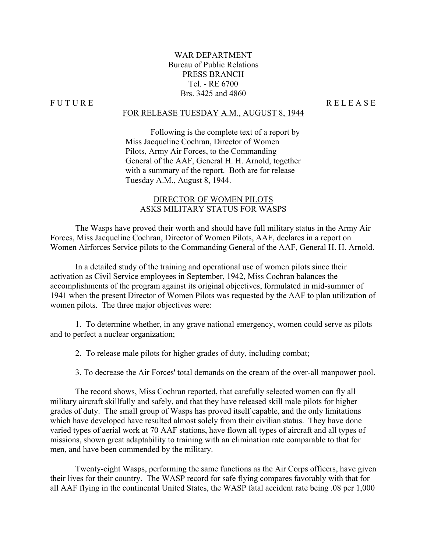## WAR DEPARTMENT Bureau of Public Relations PRESS BRANCH Tel. - RE 6700 Brs. 3425 and 4860

#### FOR RELEASE TUESDAY A.M., AUGUST 8, 1944

Following is the complete text of a report by Miss Jacqueline Cochran, Director of Women Pilots, Army Air Forces, to the Commanding General of the AAF, General H. H. Arnold, together with a summary of the report. Both are for release Tuesday A.M., August 8, 1944.

## DIRECTOR OF WOMEN PILOTS ASKS MILITARY STATUS FOR WASPS

 The Wasps have proved their worth and should have full military status in the Army Air Forces, Miss Jacqueline Cochran, Director of Women Pilots, AAF, declares in a report on Women Airforces Service pilots to the Commanding General of the AAF, General H. H. Arnold.

 In a detailed study of the training and operational use of women pilots since their activation as Civil Service employees in September, 1942, Miss Cochran balances the accomplishments of the program against its original objectives, formulated in mid-summer of 1941 when the present Director of Women Pilots was requested by the AAF to plan utilization of women pilots. The three major objectives were:

 1. To determine whether, in any grave national emergency, women could serve as pilots and to perfect a nuclear organization;

2. To release male pilots for higher grades of duty, including combat;

3. To decrease the Air Forces' total demands on the cream of the over-all manpower pool.

The record shows, Miss Cochran reported, that carefully selected women can fly all military aircraft skillfully and safely, and that they have released skill male pilots for higher grades of duty. The small group of Wasps has proved itself capable, and the only limitations which have developed have resulted almost solely from their civilian status. They have done varied types of aerial work at 70 AAF stations, have flown all types of aircraft and all types of missions, shown great adaptability to training with an elimination rate comparable to that for men, and have been commended by the military.

 Twenty-eight Wasps, performing the same functions as the Air Corps officers, have given their lives for their country. The WASP record for safe flying compares favorably with that for all AAF flying in the continental United States, the WASP fatal accident rate being .08 per 1,000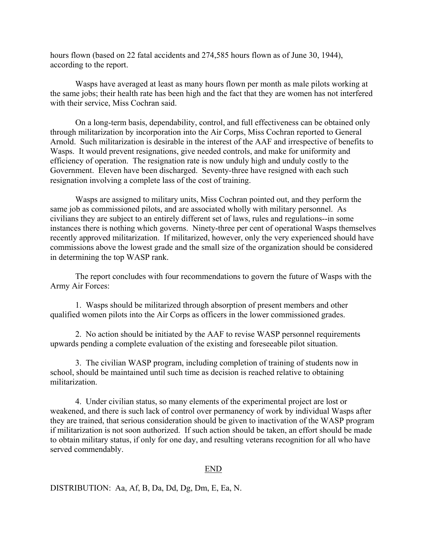hours flown (based on 22 fatal accidents and 274,585 hours flown as of June 30, 1944), according to the report.

Wasps have averaged at least as many hours flown per month as male pilots working at the same jobs; their health rate has been high and the fact that they are women has not interfered with their service, Miss Cochran said.

On a long-term basis, dependability, control, and full effectiveness can be obtained only through militarization by incorporation into the Air Corps, Miss Cochran reported to General Arnold. Such militarization is desirable in the interest of the AAF and irrespective of benefits to Wasps. It would prevent resignations, give needed controls, and make for uniformity and efficiency of operation. The resignation rate is now unduly high and unduly costly to the Government. Eleven have been discharged. Seventy-three have resigned with each such resignation involving a complete lass of the cost of training.

Wasps are assigned to military units, Miss Cochran pointed out, and they perform the same job as commissioned pilots, and are associated wholly with military personnel. As civilians they are subject to an entirely different set of laws, rules and regulations--in some instances there is nothing which governs. Ninety-three per cent of operational Wasps themselves recently approved militarization. If militarized, however, only the very experienced should have commissions above the lowest grade and the small size of the organization should be considered in determining the top WASP rank.

 The report concludes with four recommendations to govern the future of Wasps with the Army Air Forces:

 1. Wasps should be militarized through absorption of present members and other qualified women pilots into the Air Corps as officers in the lower commissioned grades.

2. No action should be initiated by the AAF to revise WASP personnel requirements upwards pending a complete evaluation of the existing and foreseeable pilot situation.

 3. The civilian WASP program, including completion of training of students now in school, should be maintained until such time as decision is reached relative to obtaining militarization.

 4. Under civilian status, so many elements of the experimental project are lost or weakened, and there is such lack of control over permanency of work by individual Wasps after they are trained, that serious consideration should be given to inactivation of the WASP program if militarization is not soon authorized. If such action should be taken, an effort should be made to obtain military status, if only for one day, and resulting veterans recognition for all who have served commendably.

#### END

DISTRIBUTION: Aa, Af, B, Da, Dd, Dg, Dm, E, Ea, N.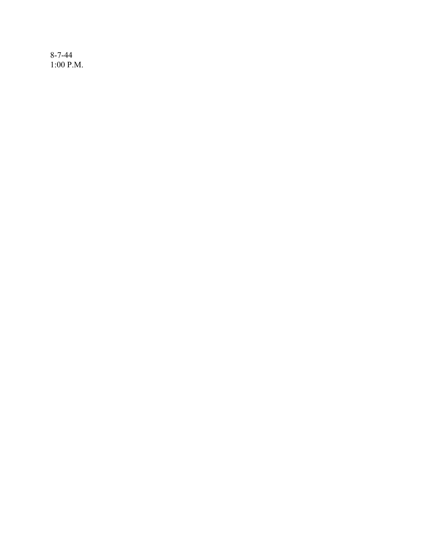8-7-44 1:00 P.M.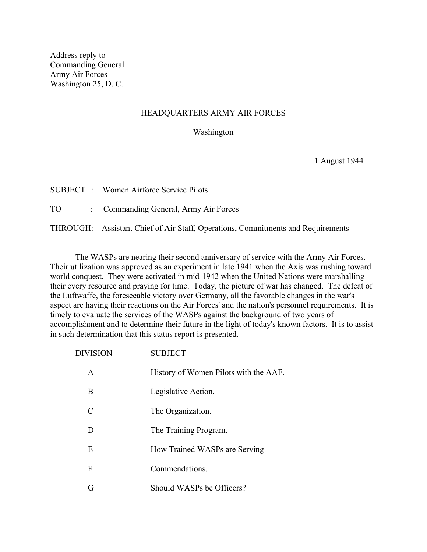Address reply to Commanding General Army Air Forces Washington 25, D. C.

#### HEADQUARTERS ARMY AIR FORCES

#### Washington

1 August 1944

|    | <b>SUBJECT</b> : Women Airforce Service Pilots                                  |
|----|---------------------------------------------------------------------------------|
| TO | : Commanding General, Army Air Forces                                           |
|    | THROUGH: Assistant Chief of Air Staff, Operations, Commitments and Requirements |

 The WASPs are nearing their second anniversary of service with the Army Air Forces. Their utilization was approved as an experiment in late 1941 when the Axis was rushing toward world conquest. They were activated in mid-1942 when the United Nations were marshalling their every resource and praying for time. Today, the picture of war has changed. The defeat of the Luftwaffe, the foreseeable victory over Germany, all the favorable changes in the war's aspect are having their reactions on the Air Forces' and the nation's personnel requirements. It is timely to evaluate the services of the WASPs against the background of two years of accomplishment and to determine their future in the light of today's known factors. It is to assist in such determination that this status report is presented.

| <b>DIVISION</b>             | <b>SUBJECT</b>                        |
|-----------------------------|---------------------------------------|
| A                           | History of Women Pilots with the AAF. |
| B                           | Legislative Action.                   |
| $\mathcal{C}_{\mathcal{C}}$ | The Organization.                     |
| D                           | The Training Program.                 |
| E                           | How Trained WASPs are Serving         |
| F                           | Commendations.                        |
| G                           | Should WASPs be Officers?             |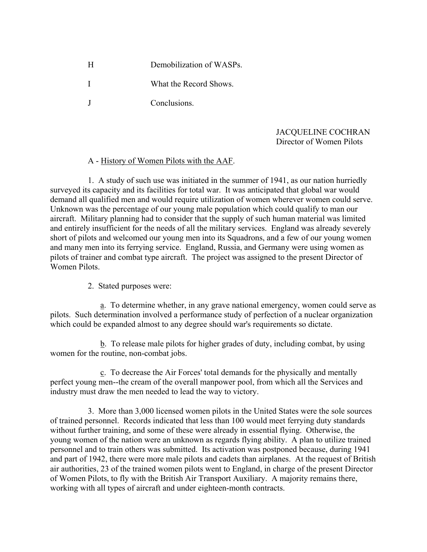H Demobilization of WASPs. I What the Record Shows. J Conclusions.

## JACQUELINE COCHRAN Director of Women Pilots

## A - History of Women Pilots with the AAF.

 1. A study of such use was initiated in the summer of 1941, as our nation hurriedly surveyed its capacity and its facilities for total war. It was anticipated that global war would demand all qualified men and would require utilization of women wherever women could serve. Unknown was the percentage of our young male population which could qualify to man our aircraft. Military planning had to consider that the supply of such human material was limited and entirely insufficient for the needs of all the military services. England was already severely short of pilots and welcomed our young men into its Squadrons, and a few of our young women and many men into its ferrying service. England, Russia, and Germany were using women as pilots of trainer and combat type aircraft. The project was assigned to the present Director of Women Pilots.

2. Stated purposes were:

 a. To determine whether, in any grave national emergency, women could serve as pilots. Such determination involved a performance study of perfection of a nuclear organization which could be expanded almost to any degree should war's requirements so dictate.

 b. To release male pilots for higher grades of duty, including combat, by using women for the routine, non-combat jobs.

 c. To decrease the Air Forces' total demands for the physically and mentally perfect young men--the cream of the overall manpower pool, from which all the Services and industry must draw the men needed to lead the way to victory.

3. More than 3,000 licensed women pilots in the United States were the sole sources of trained personnel. Records indicated that less than 100 would meet ferrying duty standards without further training, and some of these were already in essential flying. Otherwise, the young women of the nation were an unknown as regards flying ability. A plan to utilize trained personnel and to train others was submitted. Its activation was postponed because, during 1941 and part of 1942, there were more male pilots and cadets than airplanes. At the request of British air authorities, 23 of the trained women pilots went to England, in charge of the present Director of Women Pilots, to fly with the British Air Transport Auxiliary. A majority remains there, working with all types of aircraft and under eighteen-month contracts.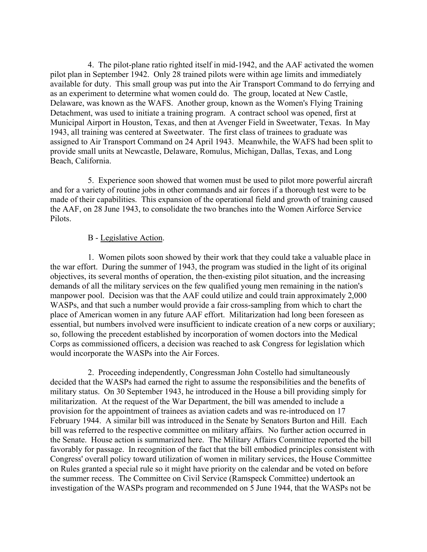4. The pilot-plane ratio righted itself in mid-1942, and the AAF activated the women pilot plan in September 1942. Only 28 trained pilots were within age limits and immediately available for duty. This small group was put into the Air Transport Command to do ferrying and as an experiment to determine what women could do. The group, located at New Castle, Delaware, was known as the WAFS. Another group, known as the Women's Flying Training Detachment, was used to initiate a training program. A contract school was opened, first at Municipal Airport in Houston, Texas, and then at Avenger Field in Sweetwater, Texas. In May 1943, all training was centered at Sweetwater. The first class of trainees to graduate was assigned to Air Transport Command on 24 April 1943. Meanwhile, the WAFS had been split to provide small units at Newcastle, Delaware, Romulus, Michigan, Dallas, Texas, and Long Beach, California.

 5. Experience soon showed that women must be used to pilot more powerful aircraft and for a variety of routine jobs in other commands and air forces if a thorough test were to be made of their capabilities. This expansion of the operational field and growth of training caused the AAF, on 28 June 1943, to consolidate the two branches into the Women Airforce Service Pilots.

### B - Legislative Action.

 1. Women pilots soon showed by their work that they could take a valuable place in the war effort. During the summer of 1943, the program was studied in the light of its original objectives, its several months of operation, the then-existing pilot situation, and the increasing demands of all the military services on the few qualified young men remaining in the nation's manpower pool. Decision was that the AAF could utilize and could train approximately 2,000 WASPs, and that such a number would provide a fair cross-sampling from which to chart the place of American women in any future AAF effort. Militarization had long been foreseen as essential, but numbers involved were insufficient to indicate creation of a new corps or auxiliary; so, following the precedent established by incorporation of women doctors into the Medical Corps as commissioned officers, a decision was reached to ask Congress for legislation which would incorporate the WASPs into the Air Forces.

 2. Proceeding independently, Congressman John Costello had simultaneously decided that the WASPs had earned the right to assume the responsibilities and the benefits of military status. On 30 September 1943, he introduced in the House a bill providing simply for militarization. At the request of the War Department, the bill was amended to include a provision for the appointment of trainees as aviation cadets and was re-introduced on 17 February 1944. A similar bill was introduced in the Senate by Senators Burton and Hill. Each bill was referred to the respective committee on military affairs. No further action occurred in the Senate. House action is summarized here. The Military Affairs Committee reported the bill favorably for passage. In recognition of the fact that the bill embodied principles consistent with Congress' overall policy toward utilization of women in military services, the House Committee on Rules granted a special rule so it might have priority on the calendar and be voted on before the summer recess. The Committee on Civil Service (Ramspeck Committee) undertook an investigation of the WASPs program and recommended on 5 June 1944, that the WASPs not be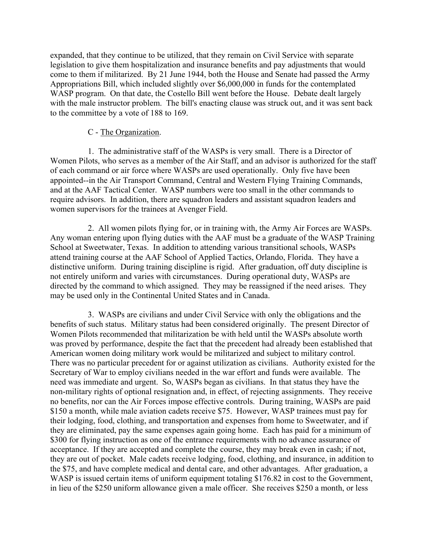expanded, that they continue to be utilized, that they remain on Civil Service with separate legislation to give them hospitalization and insurance benefits and pay adjustments that would come to them if militarized. By 21 June 1944, both the House and Senate had passed the Army Appropriations Bill, which included slightly over \$6,000,000 in funds for the contemplated WASP program. On that date, the Costello Bill went before the House. Debate dealt largely with the male instructor problem. The bill's enacting clause was struck out, and it was sent back to the committee by a vote of 188 to 169.

## C - The Organization.

 1. The administrative staff of the WASPs is very small. There is a Director of Women Pilots, who serves as a member of the Air Staff, and an advisor is authorized for the staff of each command or air force where WASPs are used operationally. Only five have been appointed--in the Air Transport Command, Central and Western Flying Training Commands, and at the AAF Tactical Center. WASP numbers were too small in the other commands to require advisors. In addition, there are squadron leaders and assistant squadron leaders and women supervisors for the trainees at Avenger Field.

2. All women pilots flying for, or in training with, the Army Air Forces are WASPs. Any woman entering upon flying duties with the AAF must be a graduate of the WASP Training School at Sweetwater, Texas. In addition to attending various transitional schools, WASPs attend training course at the AAF School of Applied Tactics, Orlando, Florida. They have a distinctive uniform. During training discipline is rigid. After graduation, off duty discipline is not entirely uniform and varies with circumstances. During operational duty, WASPs are directed by the command to which assigned. They may be reassigned if the need arises. They may be used only in the Continental United States and in Canada.

 3. WASPs are civilians and under Civil Service with only the obligations and the benefits of such status. Military status had been considered originally. The present Director of Women Pilots recommended that militarization be with held until the WASPs absolute worth was proved by performance, despite the fact that the precedent had already been established that American women doing military work would be militarized and subject to military control. There was no particular precedent for or against utilization as civilians. Authority existed for the Secretary of War to employ civilians needed in the war effort and funds were available. The need was immediate and urgent. So, WASPs began as civilians. In that status they have the non-military rights of optional resignation and, in effect, of rejecting assignments. They receive no benefits, nor can the Air Forces impose effective controls. During training, WASPs are paid \$150 a month, while male aviation cadets receive \$75. However, WASP trainees must pay for their lodging, food, clothing, and transportation and expenses from home to Sweetwater, and if they are eliminated, pay the same expenses again going home. Each has paid for a minimum of \$300 for flying instruction as one of the entrance requirements with no advance assurance of acceptance. If they are accepted and complete the course, they may break even in cash; if not, they are out of pocket. Male cadets receive lodging, food, clothing, and insurance, in addition to the \$75, and have complete medical and dental care, and other advantages. After graduation, a WASP is issued certain items of uniform equipment totaling \$176.82 in cost to the Government, in lieu of the \$250 uniform allowance given a male officer. She receives \$250 a month, or less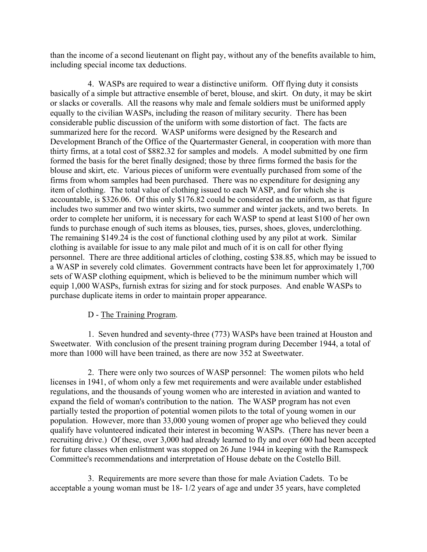than the income of a second lieutenant on flight pay, without any of the benefits available to him, including special income tax deductions.

 4. WASPs are required to wear a distinctive uniform. Off flying duty it consists basically of a simple but attractive ensemble of beret, blouse, and skirt. On duty, it may be skirt or slacks or coveralls. All the reasons why male and female soldiers must be uniformed apply equally to the civilian WASPs, including the reason of military security. There has been considerable public discussion of the uniform with some distortion of fact. The facts are summarized here for the record. WASP uniforms were designed by the Research and Development Branch of the Office of the Quartermaster General, in cooperation with more than thirty firms, at a total cost of \$882.32 for samples and models. A model submitted by one firm formed the basis for the beret finally designed; those by three firms formed the basis for the blouse and skirt, etc. Various pieces of uniform were eventually purchased from some of the firms from whom samples had been purchased. There was no expenditure for designing any item of clothing. The total value of clothing issued to each WASP, and for which she is accountable, is \$326.06. Of this only \$176.82 could be considered as the uniform, as that figure includes two summer and two winter skirts, two summer and winter jackets, and two berets. In order to complete her uniform, it is necessary for each WASP to spend at least \$100 of her own funds to purchase enough of such items as blouses, ties, purses, shoes, gloves, underclothing. The remaining \$149.24 is the cost of functional clothing used by any pilot at work. Similar clothing is available for issue to any male pilot and much of it is on call for other flying personnel. There are three additional articles of clothing, costing \$38.85, which may be issued to a WASP in severely cold climates. Government contracts have been let for approximately 1,700 sets of WASP clothing equipment, which is believed to be the minimum number which will equip 1,000 WASPs, furnish extras for sizing and for stock purposes. And enable WASPs to purchase duplicate items in order to maintain proper appearance.

## D - The Training Program.

1. Seven hundred and seventy-three (773) WASPs have been trained at Houston and Sweetwater. With conclusion of the present training program during December 1944, a total of more than 1000 will have been trained, as there are now 352 at Sweetwater.

2. There were only two sources of WASP personnel: The women pilots who held licenses in 1941, of whom only a few met requirements and were available under established regulations, and the thousands of young women who are interested in aviation and wanted to expand the field of woman's contribution to the nation. The WASP program has not even partially tested the proportion of potential women pilots to the total of young women in our population. However, more than 33,000 young women of proper age who believed they could qualify have volunteered indicated their interest in becoming WASPs. (There has never been a recruiting drive.) Of these, over 3,000 had already learned to fly and over 600 had been accepted for future classes when enlistment was stopped on 26 June 1944 in keeping with the Ramspeck Committee's recommendations and interpretation of House debate on the Costello Bill.

 3. Requirements are more severe than those for male Aviation Cadets. To be acceptable a young woman must be 18- 1/2 years of age and under 35 years, have completed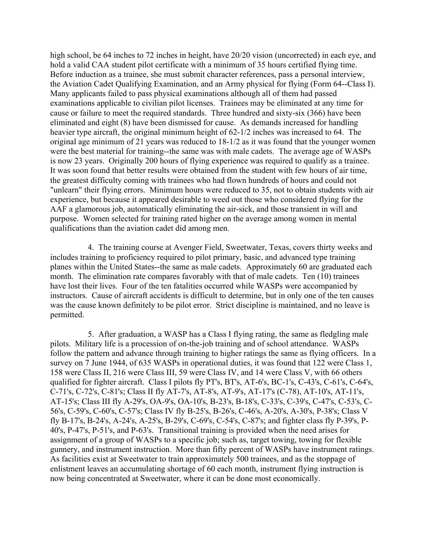high school, be 64 inches to 72 inches in height, have 20/20 vision (uncorrected) in each eye, and hold a valid CAA student pilot certificate with a minimum of 35 hours certified flying time. Before induction as a trainee, she must submit character references, pass a personal interview, the Aviation Cadet Qualifying Examination, and an Army physical for flying (Form 64--Class I). Many applicants failed to pass physical examinations although all of them had passed examinations applicable to civilian pilot licenses. Trainees may be eliminated at any time for cause or failure to meet the required standards. Three hundred and sixty-six (366) have been eliminated and eight (8) have been dismissed for cause. As demands increased for handling heavier type aircraft, the original minimum height of 62-1/2 inches was increased to 64. The original age minimum of 21 years was reduced to 18-1/2 as it was found that the younger women were the best material for training--the same was with male cadets. The average age of WASPs is now 23 years. Originally 200 hours of flying experience was required to qualify as a trainee. It was soon found that better results were obtained from the student with few hours of air time, the greatest difficulty coming with trainees who had flown hundreds of hours and could not "unlearn" their flying errors. Minimum hours were reduced to 35, not to obtain students with air experience, but because it appeared desirable to weed out those who considered flying for the AAF a glamorous job, automatically eliminating the air-sick, and those transient in will and purpose. Women selected for training rated higher on the average among women in mental qualifications than the aviation cadet did among men.

4. The training course at Avenger Field, Sweetwater, Texas, covers thirty weeks and includes training to proficiency required to pilot primary, basic, and advanced type training planes within the United States--the same as male cadets. Approximately 60 are graduated each month. The elimination rate compares favorably with that of male cadets. Ten (10) trainees have lost their lives. Four of the ten fatalities occurred while WASPs were accompanied by instructors. Cause of aircraft accidents is difficult to determine, but in only one of the ten causes was the cause known definitely to be pilot error. Strict discipline is maintained, and no leave is permitted.

5. After graduation, a WASP has a Class I flying rating, the same as fledgling male pilots. Military life is a procession of on-the-job training and of school attendance. WASPs follow the pattern and advance through training to higher ratings the same as flying officers. In a survey on 7 June 1944, of 635 WASPs in operational duties, it was found that 122 were Class 1, 158 were Class II, 216 were Class III, 59 were Class IV, and 14 were Class V, with 66 others qualified for fighter aircraft. Class I pilots fly PT's, BT's, AT-6's, BC-1's, C-43's, C-61's, C-64's, C-71's, C-72's, C-81's; Class II fly AT-7's, AT-8's, AT-9's, AT-17's (C-78), AT-10's, AT-11's, AT-15's; Class III fly A-29's, OA-9's, OA-10's, B-23's, B-18's, C-33's, C-39's, C-47's, C-53's, C-56's, C-59's, C-60's, C-57's; Class IV fly B-25's, B-26's, C-46's, A-20's, A-30's, P-38's; Class V fly B-17's, B-24's, A-24's, A-25's, B-29's, C-69's, C-54's, C-87's; and fighter class fly P-39's, P-40's, P-47's, P-51's, and P-63's. Transitional training is provided when the need arises for assignment of a group of WASPs to a specific job; such as, target towing, towing for flexible gunnery, and instrument instruction. More than fifty percent of WASPs have instrument ratings. As facilities exist at Sweetwater to train approximately 500 trainees, and as the stoppage of enlistment leaves an accumulating shortage of 60 each month, instrument flying instruction is now being concentrated at Sweetwater, where it can be done most economically.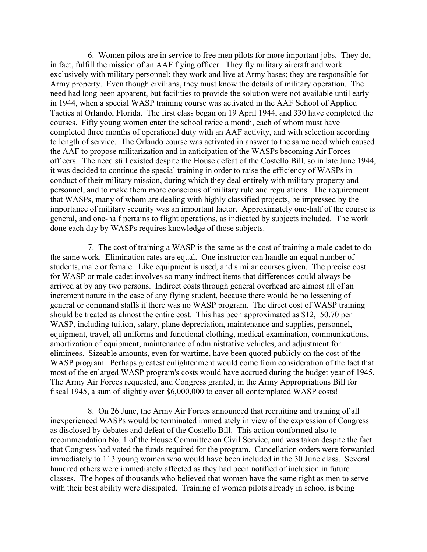6. Women pilots are in service to free men pilots for more important jobs. They do, in fact, fulfill the mission of an AAF flying officer. They fly military aircraft and work exclusively with military personnel; they work and live at Army bases; they are responsible for Army property. Even though civilians, they must know the details of military operation. The need had long been apparent, but facilities to provide the solution were not available until early in 1944, when a special WASP training course was activated in the AAF School of Applied Tactics at Orlando, Florida. The first class began on 19 April 1944, and 330 have completed the courses. Fifty young women enter the school twice a month, each of whom must have completed three months of operational duty with an AAF activity, and with selection according to length of service. The Orlando course was activated in answer to the same need which caused the AAF to propose militarization and in anticipation of the WASPs becoming Air Forces officers. The need still existed despite the House defeat of the Costello Bill, so in late June 1944, it was decided to continue the special training in order to raise the efficiency of WASPs in conduct of their military mission, during which they deal entirely with military property and personnel, and to make them more conscious of military rule and regulations. The requirement that WASPs, many of whom are dealing with highly classified projects, be impressed by the importance of military security was an important factor. Approximately one-half of the course is general, and one-half pertains to flight operations, as indicated by subjects included. The work done each day by WASPs requires knowledge of those subjects.

7. The cost of training a WASP is the same as the cost of training a male cadet to do the same work. Elimination rates are equal. One instructor can handle an equal number of students, male or female. Like equipment is used, and similar courses given. The precise cost for WASP or male cadet involves so many indirect items that differences could always be arrived at by any two persons. Indirect costs through general overhead are almost all of an increment nature in the case of any flying student, because there would be no lessening of general or command staffs if there was no WASP program. The direct cost of WASP training should be treated as almost the entire cost. This has been approximated as \$12,150.70 per WASP, including tuition, salary, plane depreciation, maintenance and supplies, personnel, equipment, travel, all uniforms and functional clothing, medical examination, communications, amortization of equipment, maintenance of administrative vehicles, and adjustment for eliminees. Sizeable amounts, even for wartime, have been quoted publicly on the cost of the WASP program. Perhaps greatest enlightenment would come from consideration of the fact that most of the enlarged WASP program's costs would have accrued during the budget year of 1945. The Army Air Forces requested, and Congress granted, in the Army Appropriations Bill for fiscal 1945, a sum of slightly over \$6,000,000 to cover all contemplated WASP costs!

 8. On 26 June, the Army Air Forces announced that recruiting and training of all inexperienced WASPs would be terminated immediately in view of the expression of Congress as disclosed by debates and defeat of the Costello Bill. This action conformed also to recommendation No. 1 of the House Committee on Civil Service, and was taken despite the fact that Congress had voted the funds required for the program. Cancellation orders were forwarded immediately to 113 young women who would have been included in the 30 June class. Several hundred others were immediately affected as they had been notified of inclusion in future classes. The hopes of thousands who believed that women have the same right as men to serve with their best ability were dissipated. Training of women pilots already in school is being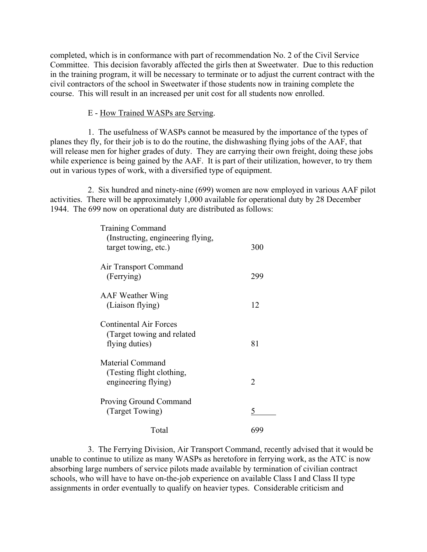completed, which is in conformance with part of recommendation No. 2 of the Civil Service Committee. This decision favorably affected the girls then at Sweetwater. Due to this reduction in the training program, it will be necessary to terminate or to adjust the current contract with the civil contractors of the school in Sweetwater if those students now in training complete the course. This will result in an increased per unit cost for all students now enrolled.

#### E - How Trained WASPs are Serving.

 1. The usefulness of WASPs cannot be measured by the importance of the types of planes they fly, for their job is to do the routine, the dishwashing flying jobs of the AAF, that will release men for higher grades of duty. They are carrying their own freight, doing these jobs while experience is being gained by the AAF. It is part of their utilization, however, to try them out in various types of work, with a diversified type of equipment.

 2. Six hundred and ninety-nine (699) women are now employed in various AAF pilot activities. There will be approximately 1,000 available for operational duty by 28 December 1944. The 699 now on operational duty are distributed as follows:

| <b>Training Command</b><br>(Instructing, engineering flying,<br>target towing, etc.) | 300 |
|--------------------------------------------------------------------------------------|-----|
| Air Transport Command<br>(Ferrying)                                                  | 299 |
| <b>AAF Weather Wing</b><br>(Liaison flying)                                          | 12  |
| <b>Continental Air Forces</b><br>(Target towing and related)<br>flying duties)       | 81  |
| Material Command<br>(Testing flight clothing,<br>engineering flying)                 | 2   |
| Proving Ground Command<br>(Target Towing)                                            | 5   |
| Total                                                                                | 699 |

 3. The Ferrying Division, Air Transport Command, recently advised that it would be unable to continue to utilize as many WASPs as heretofore in ferrying work, as the ATC is now absorbing large numbers of service pilots made available by termination of civilian contract schools, who will have to have on-the-job experience on available Class I and Class II type assignments in order eventually to qualify on heavier types. Considerable criticism and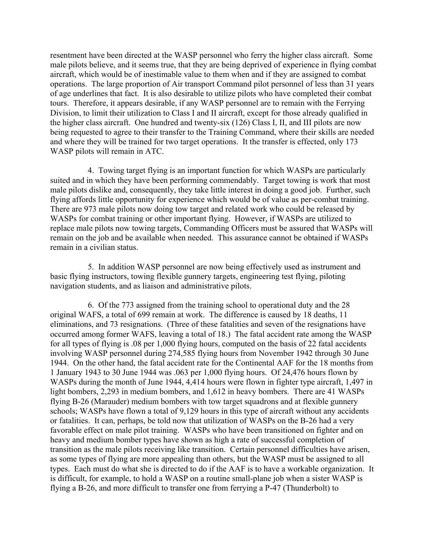resentment have been directed at the WASP personnel who ferry the higher class aircraft. Some male pilots believe, and it seems true, that they are being deprived of experience in flying combat aircraft, which would be of inestimable value to them when and if they are assigned to combat operations. The large proportion of Air transport Command pilot personnel of less than 31 years of age underlines that fact. It is also desirable to utilize pilots who have completed their combat tours. Therefore, it appears desirable, if any WASP personnel are to remain with the Ferrying Division, to limit their utilization to Class I and II aircraft, except for those already qualified in the higher class aircraft. One hundred and twenty-six (126) Class I, II, and III pilots are now being requested to agree to their transfer to the Training Command, where their skills are needed and where they will be trained for two target operations. It the transfer is effected, only 173 WASP pilots will remain in ATC.

4. Towing target flying is an important function for which WASPs are particularly suited and in which they have been performing commendably. Target towing is work that most male pilots dislike and, consequently, they take little interest in doing a good job. Further, such flying affords little opportunity for experience which would be of value as per-combat training. There are 973 male pilots now doing tow target and related work who could be released by WASPs for combat training or other important flying. However, if WASPs are utilized to replace male pilots now towing targets, Commanding Officers must be assured that WASPs will remain on the job and be available when needed. This assurance cannot be obtained if WASPs remain in a civilian status.

 5. In addition WASP personnel are now being effectively used as instrument and basic flying instructors, towing flexible gunnery targets, engineering test flying, piloting navigation students, and as liaison and administrative pilots.

 6. Of the 773 assigned from the training school to operational duty and the 28 original WAFS, a total of 699 remain at work. The difference is caused by 18 deaths, 11 eliminations, and 73 resignations. (Three of these fatalities and seven of the resignations have occurred among former WAFS, leaving a total of 18.) The fatal accident rate among the WASP for all types of flying is .08 per 1,000 flying hours, computed on the basis of 22 fatal accidents involving WASP personnel during 274,585 flying hours from November 1942 through 30 June 1944. On the other hand, the fatal accident rate for the Continental AAF for the 18 months from 1 January 1943 to 30 June 1944 was .063 per 1,000 flying hours. Of 24,476 hours flown by WASPs during the month of June 1944, 4,414 hours were flown in fighter type aircraft, 1,497 in light bombers, 2,293 in medium bombers, and 1,612 in heavy bombers. There are 41 WASPs flying B-26 (Marauder) medium bombers with tow target squadrons and at flexible gunnery schools; WASPs have flown a total of 9,129 hours in this type of aircraft without any accidents or fatalities. It can, perhaps, be told now that utilization of WASPs on the B-26 had a very favorable effect on male pilot training. WASPs who have been transitioned on fighter and on heavy and medium bomber types have shown as high a rate of successful completion of transition as the male pilots receiving like transition. Certain personnel difficulties have arisen, as some types of flying are more appealing than others, but the WASP must be assigned to all types. Each must do what she is directed to do if the AAF is to have a workable organization. It is difficult, for example, to hold a WASP on a routine small-plane job when a sister WASP is flying a B-26, and more difficult to transfer one from ferrying a P-47 (Thunderbolt) to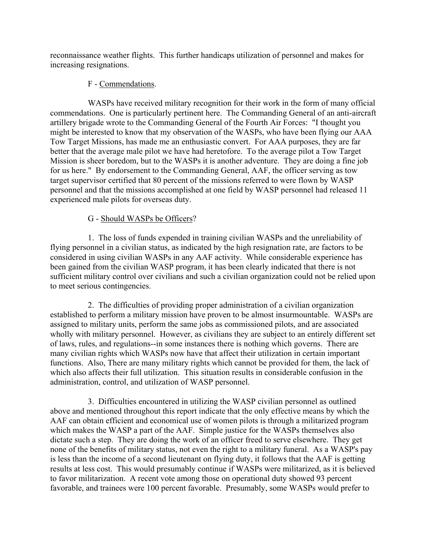reconnaissance weather flights. This further handicaps utilization of personnel and makes for increasing resignations.

## F - Commendations.

WASPs have received military recognition for their work in the form of many official commendations. One is particularly pertinent here. The Commanding General of an anti-aircraft artillery brigade wrote to the Commanding General of the Fourth Air Forces: "I thought you might be interested to know that my observation of the WASPs, who have been flying our AAA Tow Target Missions, has made me an enthusiastic convert. For AAA purposes, they are far better that the average male pilot we have had heretofore. To the average pilot a Tow Target Mission is sheer boredom, but to the WASPs it is another adventure. They are doing a fine job for us here." By endorsement to the Commanding General, AAF, the officer serving as tow target supervisor certified that 80 percent of the missions referred to were flown by WASP personnel and that the missions accomplished at one field by WASP personnel had released 11 experienced male pilots for overseas duty.

# G - Should WASPs be Officers?

1. The loss of funds expended in training civilian WASPs and the unreliability of flying personnel in a civilian status, as indicated by the high resignation rate, are factors to be considered in using civilian WASPs in any AAF activity. While considerable experience has been gained from the civilian WASP program, it has been clearly indicated that there is not sufficient military control over civilians and such a civilian organization could not be relied upon to meet serious contingencies.

 2. The difficulties of providing proper administration of a civilian organization established to perform a military mission have proven to be almost insurmountable. WASPs are assigned to military units, perform the same jobs as commissioned pilots, and are associated wholly with military personnel. However, as civilians they are subject to an entirely different set of laws, rules, and regulations--in some instances there is nothing which governs. There are many civilian rights which WASPs now have that affect their utilization in certain important functions. Also, There are many military rights which cannot be provided for them, the lack of which also affects their full utilization. This situation results in considerable confusion in the administration, control, and utilization of WASP personnel.

 3. Difficulties encountered in utilizing the WASP civilian personnel as outlined above and mentioned throughout this report indicate that the only effective means by which the AAF can obtain efficient and economical use of women pilots is through a militarized program which makes the WASP a part of the AAF. Simple justice for the WASPs themselves also dictate such a step. They are doing the work of an officer freed to serve elsewhere. They get none of the benefits of military status, not even the right to a military funeral. As a WASP's pay is less than the income of a second lieutenant on flying duty, it follows that the AAF is getting results at less cost. This would presumably continue if WASPs were militarized, as it is believed to favor militarization. A recent vote among those on operational duty showed 93 percent favorable, and trainees were 100 percent favorable. Presumably, some WASPs would prefer to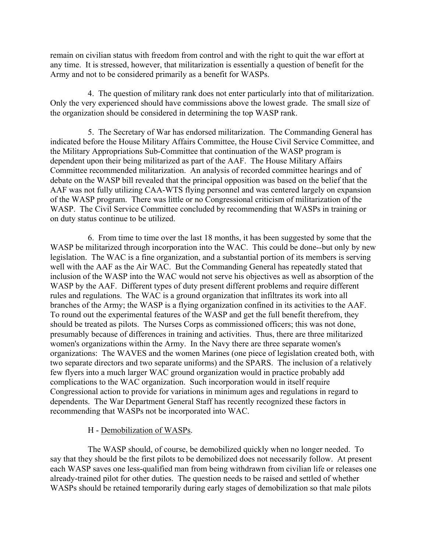remain on civilian status with freedom from control and with the right to quit the war effort at any time. It is stressed, however, that militarization is essentially a question of benefit for the Army and not to be considered primarily as a benefit for WASPs.

4. The question of military rank does not enter particularly into that of militarization. Only the very experienced should have commissions above the lowest grade. The small size of the organization should be considered in determining the top WASP rank.

 5. The Secretary of War has endorsed militarization. The Commanding General has indicated before the House Military Affairs Committee, the House Civil Service Committee, and the Military Appropriations Sub-Committee that continuation of the WASP program is dependent upon their being militarized as part of the AAF. The House Military Affairs Committee recommended militarization. An analysis of recorded committee hearings and of debate on the WASP bill revealed that the principal opposition was based on the belief that the AAF was not fully utilizing CAA-WTS flying personnel and was centered largely on expansion of the WASP program. There was little or no Congressional criticism of militarization of the WASP. The Civil Service Committee concluded by recommending that WASPs in training or on duty status continue to be utilized.

6. From time to time over the last 18 months, it has been suggested by some that the WASP be militarized through incorporation into the WAC. This could be done--but only by new legislation. The WAC is a fine organization, and a substantial portion of its members is serving well with the AAF as the Air WAC. But the Commanding General has repeatedly stated that inclusion of the WASP into the WAC would not serve his objectives as well as absorption of the WASP by the AAF. Different types of duty present different problems and require different rules and regulations. The WAC is a ground organization that infiltrates its work into all branches of the Army; the WASP is a flying organization confined in its activities to the AAF. To round out the experimental features of the WASP and get the full benefit therefrom, they should be treated as pilots. The Nurses Corps as commissioned officers; this was not done, presumably because of differences in training and activities. Thus, there are three militarized women's organizations within the Army. In the Navy there are three separate women's organizations: The WAVES and the women Marines (one piece of legislation created both, with two separate directors and two separate uniforms) and the SPARS. The inclusion of a relatively few flyers into a much larger WAC ground organization would in practice probably add complications to the WAC organization. Such incorporation would in itself require Congressional action to provide for variations in minimum ages and regulations in regard to dependents. The War Department General Staff has recently recognized these factors in recommending that WASPs not be incorporated into WAC.

### H - Demobilization of WASPs.

 The WASP should, of course, be demobilized quickly when no longer needed. To say that they should be the first pilots to be demobilized does not necessarily follow. At present each WASP saves one less-qualified man from being withdrawn from civilian life or releases one already-trained pilot for other duties. The question needs to be raised and settled of whether WASPs should be retained temporarily during early stages of demobilization so that male pilots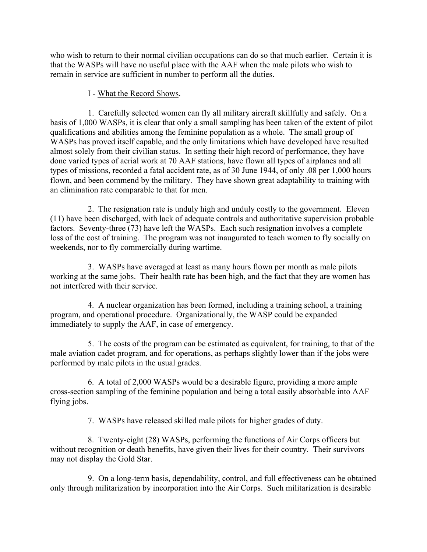who wish to return to their normal civilian occupations can do so that much earlier. Certain it is that the WASPs will have no useful place with the AAF when the male pilots who wish to remain in service are sufficient in number to perform all the duties.

# I - What the Record Shows.

 1. Carefully selected women can fly all military aircraft skillfully and safely. On a basis of 1,000 WASPs, it is clear that only a small sampling has been taken of the extent of pilot qualifications and abilities among the feminine population as a whole. The small group of WASPs has proved itself capable, and the only limitations which have developed have resulted almost solely from their civilian status. In setting their high record of performance, they have done varied types of aerial work at 70 AAF stations, have flown all types of airplanes and all types of missions, recorded a fatal accident rate, as of 30 June 1944, of only .08 per 1,000 hours flown, and been commend by the military. They have shown great adaptability to training with an elimination rate comparable to that for men.

2. The resignation rate is unduly high and unduly costly to the government. Eleven (11) have been discharged, with lack of adequate controls and authoritative supervision probable factors. Seventy-three (73) have left the WASPs. Each such resignation involves a complete loss of the cost of training. The program was not inaugurated to teach women to fly socially on weekends, nor to fly commercially during wartime.

 3. WASPs have averaged at least as many hours flown per month as male pilots working at the same jobs. Their health rate has been high, and the fact that they are women has not interfered with their service.

 4. A nuclear organization has been formed, including a training school, a training program, and operational procedure. Organizationally, the WASP could be expanded immediately to supply the AAF, in case of emergency.

 5. The costs of the program can be estimated as equivalent, for training, to that of the male aviation cadet program, and for operations, as perhaps slightly lower than if the jobs were performed by male pilots in the usual grades.

 6. A total of 2,000 WASPs would be a desirable figure, providing a more ample cross-section sampling of the feminine population and being a total easily absorbable into AAF flying jobs.

7. WASPs have released skilled male pilots for higher grades of duty.

 8. Twenty-eight (28) WASPs, performing the functions of Air Corps officers but without recognition or death benefits, have given their lives for their country. Their survivors may not display the Gold Star.

 9. On a long-term basis, dependability, control, and full effectiveness can be obtained only through militarization by incorporation into the Air Corps. Such militarization is desirable